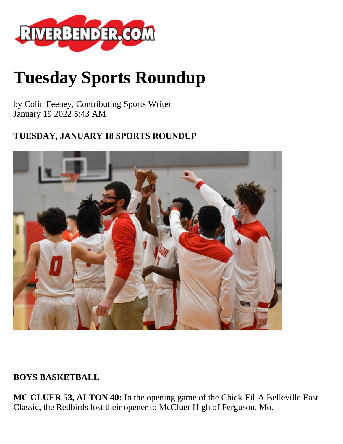

# **Tuesday Sports Roundup**

by Colin Feeney, Contributing Sports Writer January 19 2022 5:43 AM

#### **TUESDAY, JANUARY 18 SPORTS ROUNDUP**



#### **BOYS BASKETBALL**

**MC CLUER 53, ALTON 40:** In the opening game of the Chick-Fil-A Belleville East Classic, the Redbirds lost their opener to McCluer High of Ferguson, Mo.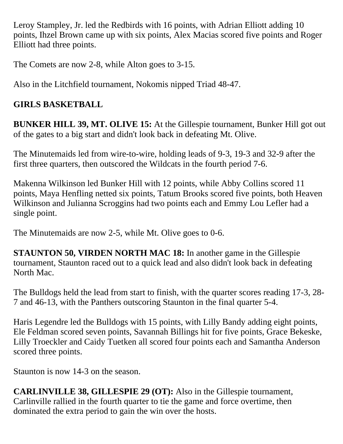Leroy Stampley, Jr. led the Redbirds with 16 points, with Adrian Elliott adding 10 points, Ihzel Brown came up with six points, Alex Macias scored five points and Roger Elliott had three points.

The Comets are now 2-8, while Alton goes to 3-15.

Also in the Litchfield tournament, Nokomis nipped Triad 48-47.

## **GIRLS BASKETBALL**

**BUNKER HILL 39, MT. OLIVE 15:** At the Gillespie tournament, Bunker Hill got out of the gates to a big start and didn't look back in defeating Mt. Olive.

The Minutemaids led from wire-to-wire, holding leads of 9-3, 19-3 and 32-9 after the first three quarters, then outscored the Wildcats in the fourth period 7-6.

Makenna Wilkinson led Bunker Hill with 12 points, while Abby Collins scored 11 points, Maya Henfling netted six points, Tatum Brooks scored five points, both Heaven Wilkinson and Julianna Scroggins had two points each and Emmy Lou Lefler had a single point.

The Minutemaids are now 2-5, while Mt. Olive goes to 0-6.

**STAUNTON 50, VIRDEN NORTH MAC 18:** In another game in the Gillespie tournament, Staunton raced out to a quick lead and also didn't look back in defeating North Mac.

The Bulldogs held the lead from start to finish, with the quarter scores reading 17-3, 28- 7 and 46-13, with the Panthers outscoring Staunton in the final quarter 5-4.

Haris Legendre led the Bulldogs with 15 points, with Lilly Bandy adding eight points, Ele Feldman scored seven points, Savannah Billings hit for five points, Grace Bekeske, Lilly Troeckler and Caidy Tuetken all scored four points each and Samantha Anderson scored three points.

Staunton is now 14-3 on the season.

**CARLINVILLE 38, GILLESPIE 29 (OT):** Also in the Gillespie tournament, Carlinville rallied in the fourth quarter to tie the game and force overtime, then dominated the extra period to gain the win over the hosts.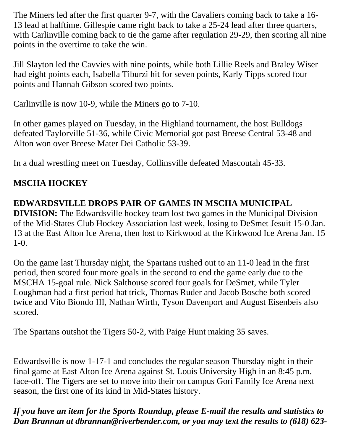The Miners led after the first quarter 9-7, with the Cavaliers coming back to take a 16- 13 lead at halftime. Gillespie came right back to take a 25-24 lead after three quarters, with Carlinville coming back to tie the game after regulation 29-29, then scoring all nine points in the overtime to take the win.

Jill Slayton led the Cavvies with nine points, while both Lillie Reels and Braley Wiser had eight points each, Isabella Tiburzi hit for seven points, Karly Tipps scored four points and Hannah Gibson scored two points.

Carlinville is now 10-9, while the Miners go to 7-10.

In other games played on Tuesday, in the Highland tournament, the host Bulldogs defeated Taylorville 51-36, while Civic Memorial got past Breese Central 53-48 and Alton won over Breese Mater Dei Catholic 53-39.

In a dual wrestling meet on Tuesday, Collinsville defeated Mascoutah 45-33.

## **MSCHA HOCKEY**

## **EDWARDSVILLE DROPS PAIR OF GAMES IN MSCHA MUNICIPAL**

**DIVISION:** The Edwardsville hockey team lost two games in the Municipal Division of the Mid-States Club Hockey Association last week, losing to DeSmet Jesuit 15-0 Jan. 13 at the East Alton Ice Arena, then lost to Kirkwood at the Kirkwood Ice Arena Jan. 15 1-0.

On the game last Thursday night, the Spartans rushed out to an 11-0 lead in the first period, then scored four more goals in the second to end the game early due to the MSCHA 15-goal rule. Nick Salthouse scored four goals for DeSmet, while Tyler Loughman had a first period hat trick, Thomas Ruder and Jacob Bosche both scored twice and Vito Biondo III, Nathan Wirth, Tyson Davenport and August Eisenbeis also scored.

The Spartans outshot the Tigers 50-2, with Paige Hunt making 35 saves.

Edwardsville is now 1-17-1 and concludes the regular season Thursday night in their final game at East Alton Ice Arena against St. Louis University High in an 8:45 p.m. face-off. The Tigers are set to move into their on campus Gori Family Ice Arena next season, the first one of its kind in Mid-States history.

*If you have an item for the Sports Roundup, please E-mail the results and statistics to Dan Brannan at dbrannan@riverbender.com, or you may text the results to (618) 623-*